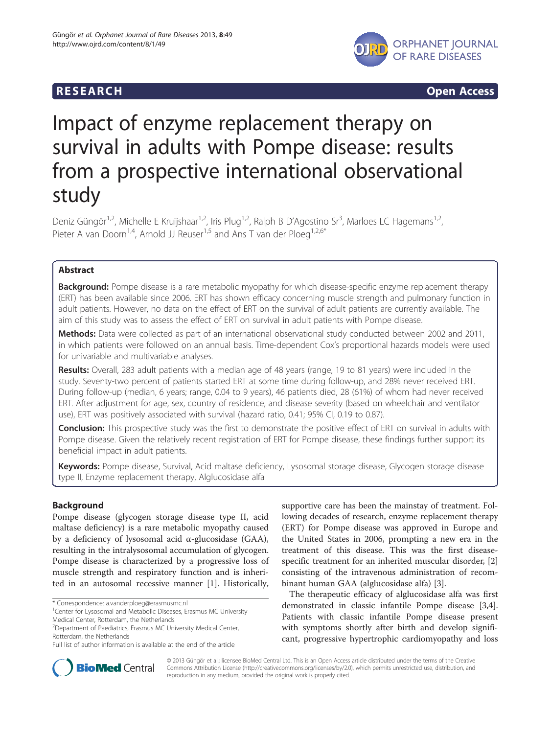

**RESEARCH RESEARCH CONSUMING ACCESS** 

# Impact of enzyme replacement therapy on survival in adults with Pompe disease: results from a prospective international observational study

Deniz Güngör<sup>1,2</sup>, Michelle E Kruijshaar<sup>1,2</sup>, Iris Plug<sup>1,2</sup>, Ralph B D'Agostino Sr<sup>3</sup>, Marloes LC Hagemans<sup>1,2</sup>, Pieter A van Doorn<sup>1,4</sup>, Arnold JJ Reuser<sup>1,5</sup> and Ans T van der Ploeg<sup>1,2,6\*</sup>

# Abstract

Background: Pompe disease is a rare metabolic myopathy for which disease-specific enzyme replacement therapy (ERT) has been available since 2006. ERT has shown efficacy concerning muscle strength and pulmonary function in adult patients. However, no data on the effect of ERT on the survival of adult patients are currently available. The aim of this study was to assess the effect of ERT on survival in adult patients with Pompe disease.

Methods: Data were collected as part of an international observational study conducted between 2002 and 2011, in which patients were followed on an annual basis. Time-dependent Cox's proportional hazards models were used for univariable and multivariable analyses.

Results: Overall, 283 adult patients with a median age of 48 years (range, 19 to 81 years) were included in the study. Seventy-two percent of patients started ERT at some time during follow-up, and 28% never received ERT. During follow-up (median, 6 years; range, 0.04 to 9 years), 46 patients died, 28 (61%) of whom had never received ERT. After adjustment for age, sex, country of residence, and disease severity (based on wheelchair and ventilator use), ERT was positively associated with survival (hazard ratio, 0.41; 95% CI, 0.19 to 0.87).

**Conclusion:** This prospective study was the first to demonstrate the positive effect of ERT on survival in adults with Pompe disease. Given the relatively recent registration of ERT for Pompe disease, these findings further support its beneficial impact in adult patients.

Keywords: Pompe disease, Survival, Acid maltase deficiency, Lysosomal storage disease, Glycogen storage disease type II, Enzyme replacement therapy, Alglucosidase alfa

# Background

Pompe disease (glycogen storage disease type II, acid maltase deficiency) is a rare metabolic myopathy caused by a deficiency of lysosomal acid α-glucosidase (GAA), resulting in the intralysosomal accumulation of glycogen. Pompe disease is characterized by a progressive loss of muscle strength and respiratory function and is inherited in an autosomal recessive manner [[1\]](#page-6-0). Historically,

supportive care has been the mainstay of treatment. Following decades of research, enzyme replacement therapy (ERT) for Pompe disease was approved in Europe and the United States in 2006, prompting a new era in the treatment of this disease. This was the first diseasespecific treatment for an inherited muscular disorder, [\[2](#page-6-0)] consisting of the intravenous administration of recombinant human GAA (alglucosidase alfa) [\[3](#page-6-0)].

The therapeutic efficacy of alglucosidase alfa was first demonstrated in classic infantile Pompe disease [\[3,4](#page-6-0)]. Patients with classic infantile Pompe disease present with symptoms shortly after birth and develop significant, progressive hypertrophic cardiomyopathy and loss



© 2013 Güngör et al.; licensee BioMed Central Ltd. This is an Open Access article distributed under the terms of the Creative Commons Attribution License [\(http://creativecommons.org/licenses/by/2.0\)](http://creativecommons.org/licenses/by/2.0), which permits unrestricted use, distribution, and reproduction in any medium, provided the original work is properly cited.

<sup>\*</sup> Correspondence: [a.vanderploeg@erasmusmc.nl](mailto:a.vanderploeg@erasmusmc.nl) <sup>1</sup>

<sup>&</sup>lt;sup>1</sup> Center for Lysosomal and Metabolic Diseases, Erasmus MC University Medical Center, Rotterdam, the Netherlands

<sup>&</sup>lt;sup>2</sup> Department of Paediatrics, Erasmus MC University Medical Center, Rotterdam, the Netherlands

Full list of author information is available at the end of the article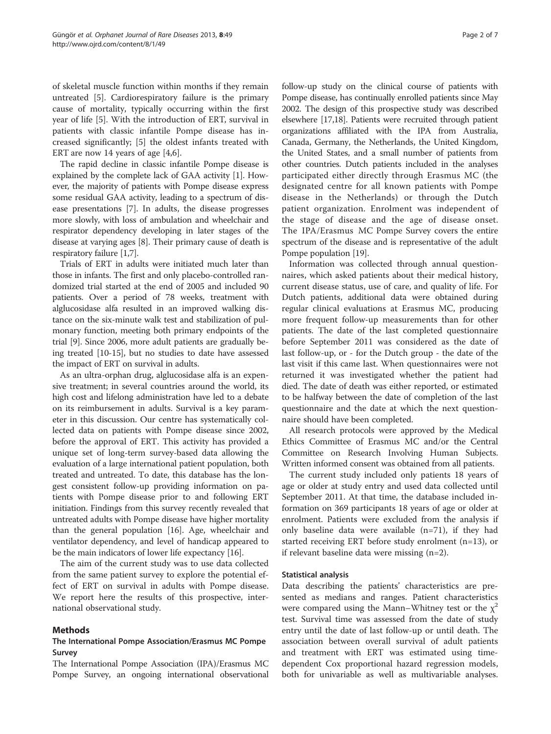of skeletal muscle function within months if they remain untreated [\[5](#page-6-0)]. Cardiorespiratory failure is the primary cause of mortality, typically occurring within the first year of life [[5](#page-6-0)]. With the introduction of ERT, survival in patients with classic infantile Pompe disease has increased significantly; [[5\]](#page-6-0) the oldest infants treated with ERT are now 14 years of age [\[4,6](#page-6-0)].

The rapid decline in classic infantile Pompe disease is explained by the complete lack of GAA activity [[1](#page-6-0)]. However, the majority of patients with Pompe disease express some residual GAA activity, leading to a spectrum of disease presentations [\[7](#page-6-0)]. In adults, the disease progresses more slowly, with loss of ambulation and wheelchair and respirator dependency developing in later stages of the disease at varying ages [\[8](#page-6-0)]. Their primary cause of death is respiratory failure [\[1,7\]](#page-6-0).

Trials of ERT in adults were initiated much later than those in infants. The first and only placebo-controlled randomized trial started at the end of 2005 and included 90 patients. Over a period of 78 weeks, treatment with alglucosidase alfa resulted in an improved walking distance on the six-minute walk test and stabilization of pulmonary function, meeting both primary endpoints of the trial [[9\]](#page-6-0). Since 2006, more adult patients are gradually being treated [[10](#page-6-0)-[15\]](#page-6-0), but no studies to date have assessed the impact of ERT on survival in adults.

As an ultra-orphan drug, alglucosidase alfa is an expensive treatment; in several countries around the world, its high cost and lifelong administration have led to a debate on its reimbursement in adults. Survival is a key parameter in this discussion. Our centre has systematically collected data on patients with Pompe disease since 2002, before the approval of ERT. This activity has provided a unique set of long-term survey-based data allowing the evaluation of a large international patient population, both treated and untreated. To date, this database has the longest consistent follow-up providing information on patients with Pompe disease prior to and following ERT initiation. Findings from this survey recently revealed that untreated adults with Pompe disease have higher mortality than the general population [\[16\]](#page-6-0). Age, wheelchair and ventilator dependency, and level of handicap appeared to be the main indicators of lower life expectancy [[16](#page-6-0)].

The aim of the current study was to use data collected from the same patient survey to explore the potential effect of ERT on survival in adults with Pompe disease. We report here the results of this prospective, international observational study.

### Methods

# The International Pompe Association/Erasmus MC Pompe Survey

The International Pompe Association (IPA)/Erasmus MC Pompe Survey, an ongoing international observational follow-up study on the clinical course of patients with Pompe disease, has continually enrolled patients since May 2002. The design of this prospective study was described elsewhere [[17,18\]](#page-6-0). Patients were recruited through patient organizations affiliated with the IPA from Australia, Canada, Germany, the Netherlands, the United Kingdom, the United States, and a small number of patients from other countries. Dutch patients included in the analyses participated either directly through Erasmus MC (the designated centre for all known patients with Pompe disease in the Netherlands) or through the Dutch patient organization. Enrolment was independent of the stage of disease and the age of disease onset. The IPA/Erasmus MC Pompe Survey covers the entire spectrum of the disease and is representative of the adult Pompe population [\[19\]](#page-6-0).

Information was collected through annual questionnaires, which asked patients about their medical history, current disease status, use of care, and quality of life. For Dutch patients, additional data were obtained during regular clinical evaluations at Erasmus MC, producing more frequent follow-up measurements than for other patients. The date of the last completed questionnaire before September 2011 was considered as the date of last follow-up, or - for the Dutch group - the date of the last visit if this came last. When questionnaires were not returned it was investigated whether the patient had died. The date of death was either reported, or estimated to be halfway between the date of completion of the last questionnaire and the date at which the next questionnaire should have been completed.

All research protocols were approved by the Medical Ethics Committee of Erasmus MC and/or the Central Committee on Research Involving Human Subjects. Written informed consent was obtained from all patients.

The current study included only patients 18 years of age or older at study entry and used data collected until September 2011. At that time, the database included information on 369 participants 18 years of age or older at enrolment. Patients were excluded from the analysis if only baseline data were available (n=71), if they had started receiving ERT before study enrolment (n=13), or if relevant baseline data were missing (n=2).

### Statistical analysis

Data describing the patients' characteristics are presented as medians and ranges. Patient characteristics were compared using the Mann–Whitney test or the  $\chi^2$ test. Survival time was assessed from the date of study entry until the date of last follow-up or until death. The association between overall survival of adult patients and treatment with ERT was estimated using timedependent Cox proportional hazard regression models, both for univariable as well as multivariable analyses.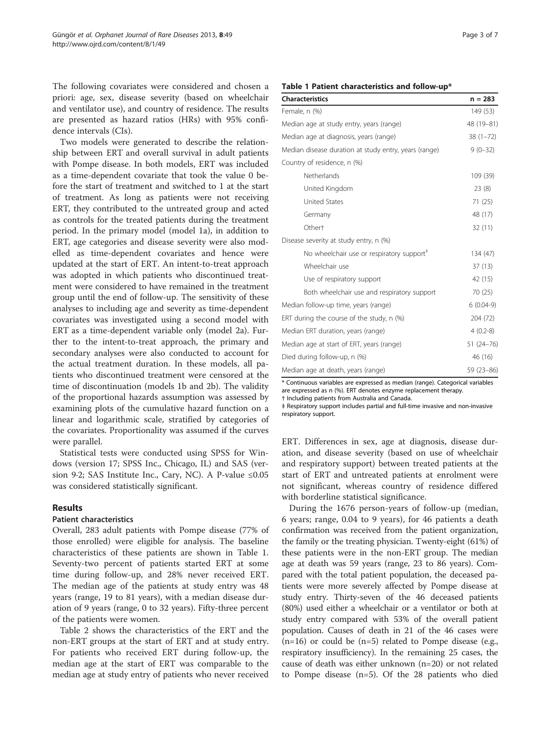The following covariates were considered and chosen a priori: age, sex, disease severity (based on wheelchair and ventilator use), and country of residence. The results are presented as hazard ratios (HRs) with 95% confidence intervals (CIs).

Two models were generated to describe the relationship between ERT and overall survival in adult patients with Pompe disease. In both models, ERT was included as a time-dependent covariate that took the value 0 before the start of treatment and switched to 1 at the start of treatment. As long as patients were not receiving ERT, they contributed to the untreated group and acted as controls for the treated patients during the treatment period. In the primary model (model 1a), in addition to ERT, age categories and disease severity were also modelled as time-dependent covariates and hence were updated at the start of ERT. An intent-to-treat approach was adopted in which patients who discontinued treatment were considered to have remained in the treatment group until the end of follow-up. The sensitivity of these analyses to including age and severity as time-dependent covariates was investigated using a second model with ERT as a time-dependent variable only (model 2a). Further to the intent-to-treat approach, the primary and secondary analyses were also conducted to account for the actual treatment duration. In these models, all patients who discontinued treatment were censored at the time of discontinuation (models 1b and 2b). The validity of the proportional hazards assumption was assessed by examining plots of the cumulative hazard function on a linear and logarithmic scale, stratified by categories of the covariates. Proportionality was assumed if the curves were parallel.

Statistical tests were conducted using SPSS for Windows (version 17; SPSS Inc., Chicago, IL) and SAS (version 9.2; SAS Institute Inc., Cary, NC). A P-value  $\leq 0.05$ was considered statistically significant.

# Results

### Patient characteristics

Overall, 283 adult patients with Pompe disease (77% of those enrolled) were eligible for analysis. The baseline characteristics of these patients are shown in Table 1. Seventy-two percent of patients started ERT at some time during follow-up, and 28% never received ERT. The median age of the patients at study entry was 48 years (range, 19 to 81 years), with a median disease duration of 9 years (range, 0 to 32 years). Fifty-three percent of the patients were women.

Table [2](#page-3-0) shows the characteristics of the ERT and the non-ERT groups at the start of ERT and at study entry. For patients who received ERT during follow-up, the median age at the start of ERT was comparable to the median age at study entry of patients who never received

### Table 1 Patient characteristics and follow-up\*

| <b>Characteristics</b>                                | $n = 283$     |
|-------------------------------------------------------|---------------|
| Female, n (%)                                         | 149 (53)      |
| Median age at study entry, years (range)              | 48 (19-81)    |
| Median age at diagnosis, years (range)                | $38(1 - 72)$  |
| Median disease duration at study entry, years (range) | $9(0-32)$     |
| Country of residence, n (%)                           |               |
| Netherlands                                           | 109 (39)      |
| United Kingdom                                        | 23(8)         |
| <b>United States</b>                                  | 71 (25)       |
| Germany                                               | 48 (17)       |
| Othert                                                | 32 (11)       |
| Disease severity at study entry, n (%)                |               |
| No wheelchair use or respiratory support $†$          | 134 (47)      |
| Wheelchair use                                        | 37(13)        |
| Use of respiratory support                            | 42 (15)       |
| Both wheelchair use and respiratory support           | 70 (25)       |
| Median follow-up time, years (range)                  | $6(0.04-9)$   |
| ERT during the course of the study, n (%)             | 204 (72)      |
| Median ERT duration, years (range)                    | $4(0.2-8)$    |
| Median age at start of ERT, years (range)             | $51(24 - 76)$ |
| Died during follow-up, n (%)                          | 46 (16)       |
| Median age at death, years (range)                    | 59 (23-86)    |

\* Continuous variables are expressed as median (range). Categorical variables are expressed as n (%). ERT denotes enzyme replacement therapy

† Including patients from Australia and Canada.

‡ Respiratory support includes partial and full-time invasive and non-invasive respiratory support.

ERT. Differences in sex, age at diagnosis, disease duration, and disease severity (based on use of wheelchair and respiratory support) between treated patients at the start of ERT and untreated patients at enrolment were not significant, whereas country of residence differed with borderline statistical significance.

During the 1676 person-years of follow-up (median, 6 years; range, 0.04 to 9 years), for 46 patients a death confirmation was received from the patient organization, the family or the treating physician. Twenty-eight (61%) of these patients were in the non-ERT group. The median age at death was 59 years (range, 23 to 86 years). Compared with the total patient population, the deceased patients were more severely affected by Pompe disease at study entry. Thirty-seven of the 46 deceased patients (80%) used either a wheelchair or a ventilator or both at study entry compared with 53% of the overall patient population. Causes of death in 21 of the 46 cases were  $(n=16)$  or could be  $(n=5)$  related to Pompe disease (e.g., respiratory insufficiency). In the remaining 25 cases, the cause of death was either unknown (n=20) or not related to Pompe disease (n=5). Of the 28 patients who died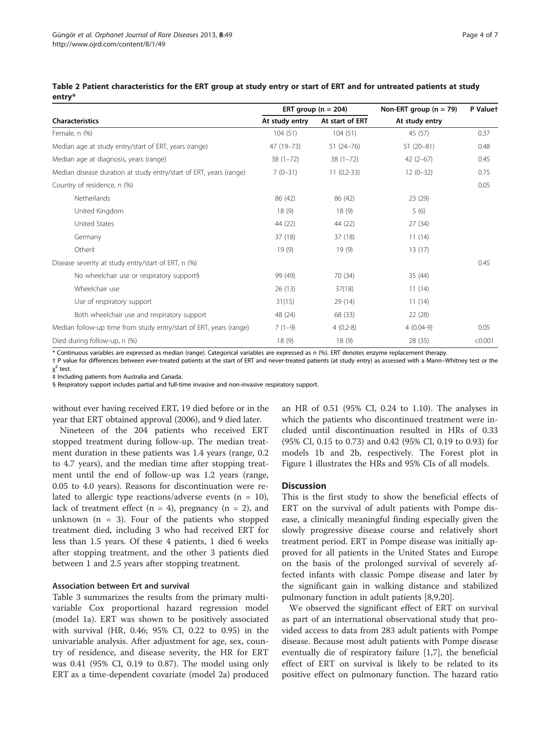<span id="page-3-0"></span>

|        | Table 2 Patient characteristics for the ERT group at study entry or start of ERT and for untreated patients at study |  |  |  |  |
|--------|----------------------------------------------------------------------------------------------------------------------|--|--|--|--|
| entry* |                                                                                                                      |  |  |  |  |

|                                                                    | ERT group ( $n = 204$ ) |                 | Non-ERT group ( $n = 79$ ) | P Valuet |
|--------------------------------------------------------------------|-------------------------|-----------------|----------------------------|----------|
| <b>Characteristics</b>                                             | At study entry          | At start of ERT | At study entry             |          |
| Female, n (%)                                                      | 104(51)                 | 104(51)         | 45 (57)                    | 0.37     |
| Median age at study entry/start of ERT, years (range)              | 47 (19-73)              | $51(24 - 76)$   | $51(20-81)$                | 0.48     |
| Median age at diagnosis, years (range)                             | $38(1 - 72)$            | $38(1 - 72)$    | $42(2-67)$                 | 0.45     |
| Median disease duration at study entry/start of ERT, years (range) | $7(0-31)$               | $11(0.2-33)$    | $12(0-32)$                 | 0.75     |
| Country of residence, n (%)                                        |                         |                 |                            | 0.05     |
| Netherlands                                                        | 86 (42)                 | 86 (42)         | 23(29)                     |          |
| United Kingdom                                                     | 18(9)                   | 18(9)           | 5(6)                       |          |
| United States                                                      | 44 (22)                 | 44 (22)         | 27(34)                     |          |
| Germany                                                            | 37 (18)                 | 37(18)          | 11(14)                     |          |
| Other‡                                                             | 19(9)                   | 19(9)           | 13(17)                     |          |
| Disease severity at study entry/start of ERT, n (%)                |                         |                 |                            | 0.45     |
| No wheelchair use or respiratory support§                          | 99 (49)                 | 70 (34)         | 35(44)                     |          |
| Wheelchair use                                                     | 26(13)                  | 37(18)          | 11(14)                     |          |
| Use of respiratory support                                         | 31(15)                  | 29 (14)         | 11(14)                     |          |
| Both wheelchair use and respiratory support                        | 48 (24)                 | 68 (33)         | 22(28)                     |          |
| Median follow-up time from study entry/start of ERT, years (range) | $7(1-9)$                | $4(0.2-8)$      | $4(0.04-9)$                | 0.05     |
| Died during follow-up, n (%)                                       | 18(9)                   | 18(9)           | 28 (35)                    | < 0.001  |

\* Continuous variables are expressed as median (range). Categorical variables are expressed as n (%). ERT denotes enzyme replacement therapy.

† P value for differences between ever-treated patients at the start of ERT and never-treated patients (at study entry) as assessed with a Mann–Whitney test or the

 $x^2$  test. ‡ Including patients from Australia and Canada.

§ Respiratory support includes partial and full-time invasive and non-invasive respiratory support.

without ever having received ERT, 19 died before or in the year that ERT obtained approval (2006), and 9 died later.

Nineteen of the 204 patients who received ERT stopped treatment during follow-up. The median treatment duration in these patients was 1.4 years (range, 0.2 to 4.7 years), and the median time after stopping treatment until the end of follow-up was 1.2 years (range, 0.05 to 4.0 years). Reasons for discontinuation were related to allergic type reactions/adverse events  $(n = 10)$ , lack of treatment effect ( $n = 4$ ), pregnancy ( $n = 2$ ), and unknown  $(n = 3)$ . Four of the patients who stopped treatment died, including 3 who had received ERT for less than 1.5 years. Of these 4 patients, 1 died 6 weeks after stopping treatment, and the other 3 patients died between 1 and 2.5 years after stopping treatment.

# Association between Ert and survival

Table [3](#page-4-0) summarizes the results from the primary multivariable Cox proportional hazard regression model (model 1a). ERT was shown to be positively associated with survival (HR, 0.46; 95% CI, 0.22 to 0.95) in the univariable analysis. After adjustment for age, sex, country of residence, and disease severity, the HR for ERT was 0.41 (95% CI, 0.19 to 0.87). The model using only ERT as a time-dependent covariate (model 2a) produced

an HR of 0.51 (95% CI, 0.24 to 1.10). The analyses in which the patients who discontinued treatment were included until discontinuation resulted in HRs of 0.33 (95% CI, 0.15 to 0.73) and 0.42 (95% CI, 0.19 to 0.93) for models 1b and 2b, respectively. The Forest plot in Figure [1](#page-4-0) illustrates the HRs and 95% CIs of all models.

#### Discussion

This is the first study to show the beneficial effects of ERT on the survival of adult patients with Pompe disease, a clinically meaningful finding especially given the slowly progressive disease course and relatively short treatment period. ERT in Pompe disease was initially approved for all patients in the United States and Europe on the basis of the prolonged survival of severely affected infants with classic Pompe disease and later by the significant gain in walking distance and stabilized pulmonary function in adult patients [[8,9,20\]](#page-6-0).

We observed the significant effect of ERT on survival as part of an international observational study that provided access to data from 283 adult patients with Pompe disease. Because most adult patients with Pompe disease eventually die of respiratory failure [[1,7\]](#page-6-0), the beneficial effect of ERT on survival is likely to be related to its positive effect on pulmonary function. The hazard ratio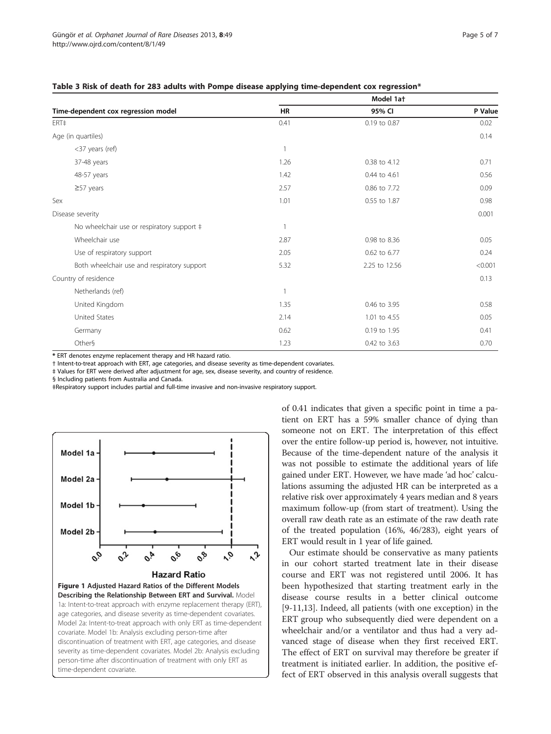<span id="page-4-0"></span>

|                                             | Model 1at    |               |         |  |
|---------------------------------------------|--------------|---------------|---------|--|
| Time-dependent cox regression model         | <b>HR</b>    | 95% CI        | P Value |  |
| ERT‡                                        | 0.41         | 0.19 to 0.87  | 0.02    |  |
| Age (in quartiles)                          |              |               | 0.14    |  |
| <37 years (ref)                             |              |               |         |  |
| 37-48 years                                 | 1.26         | 0.38 to 4.12  | 0.71    |  |
| 48-57 years                                 | 1.42         | 0.44 to 4.61  | 0.56    |  |
| $\geq$ 57 years                             | 2.57         | 0.86 to 7.72  | 0.09    |  |
| Sex                                         | 1.01         | 0.55 to 1.87  | 0.98    |  |
| Disease severity                            |              |               | 0.001   |  |
| No wheelchair use or respiratory support ‡  | 1            |               |         |  |
| Wheelchair use                              | 2.87         | 0.98 to 8.36  | 0.05    |  |
| Use of respiratory support                  | 2.05         | 0.62 to 6.77  | 0.24    |  |
| Both wheelchair use and respiratory support | 5.32         | 2.25 to 12.56 | < 0.001 |  |
| Country of residence                        |              |               | 0.13    |  |
| Netherlands (ref)                           | $\mathbf{1}$ |               |         |  |
| United Kingdom                              | 1.35         | 0.46 to 3.95  | 0.58    |  |
| United States                               | 2.14         | 1.01 to 4.55  | 0.05    |  |
| Germany                                     | 0.62         | 0.19 to 1.95  | 0.41    |  |
| Other§                                      | 1.23         | 0.42 to 3.63  | 0.70    |  |

\* ERT denotes enzyme replacement therapy and HR hazard ratio.

† Intent-to-treat approach with ERT, age categories, and disease severity as time-dependent covariates.

‡ Values for ERT were derived after adjustment for age, sex, disease severity, and country of residence.

§ Including patients from Australia and Canada.

‡Respiratory support includes partial and full-time invasive and non-invasive respiratory support.



of 0.41 indicates that given a specific point in time a patient on ERT has a 59% smaller chance of dying than someone not on ERT. The interpretation of this effect over the entire follow-up period is, however, not intuitive. Because of the time-dependent nature of the analysis it was not possible to estimate the additional years of life gained under ERT. However, we have made 'ad hoc' calculations assuming the adjusted HR can be interpreted as a relative risk over approximately 4 years median and 8 years maximum follow-up (from start of treatment). Using the overall raw death rate as an estimate of the raw death rate of the treated population (16%, 46/283), eight years of ERT would result in 1 year of life gained.

Our estimate should be conservative as many patients in our cohort started treatment late in their disease course and ERT was not registered until 2006. It has been hypothesized that starting treatment early in the disease course results in a better clinical outcome [[9-11,13](#page-6-0)]. Indeed, all patients (with one exception) in the ERT group who subsequently died were dependent on a wheelchair and/or a ventilator and thus had a very advanced stage of disease when they first received ERT. The effect of ERT on survival may therefore be greater if treatment is initiated earlier. In addition, the positive effect of ERT observed in this analysis overall suggests that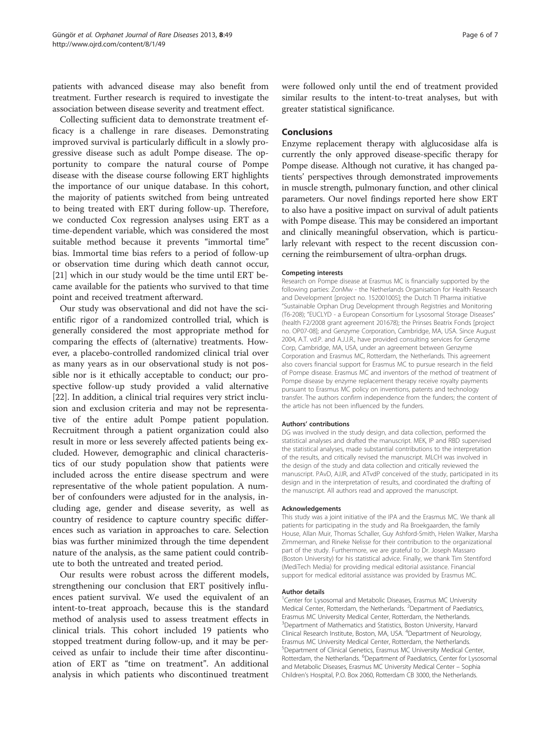patients with advanced disease may also benefit from treatment. Further research is required to investigate the association between disease severity and treatment effect.

Collecting sufficient data to demonstrate treatment efficacy is a challenge in rare diseases. Demonstrating improved survival is particularly difficult in a slowly progressive disease such as adult Pompe disease. The opportunity to compare the natural course of Pompe disease with the disease course following ERT highlights the importance of our unique database. In this cohort, the majority of patients switched from being untreated to being treated with ERT during follow-up. Therefore, we conducted Cox regression analyses using ERT as a time-dependent variable, which was considered the most suitable method because it prevents "immortal time" bias. Immortal time bias refers to a period of follow-up or observation time during which death cannot occur, [[21\]](#page-6-0) which in our study would be the time until ERT became available for the patients who survived to that time point and received treatment afterward.

Our study was observational and did not have the scientific rigor of a randomized controlled trial, which is generally considered the most appropriate method for comparing the effects of (alternative) treatments. However, a placebo-controlled randomized clinical trial over as many years as in our observational study is not possible nor is it ethically acceptable to conduct; our prospective follow-up study provided a valid alternative [[22\]](#page-6-0). In addition, a clinical trial requires very strict inclusion and exclusion criteria and may not be representative of the entire adult Pompe patient population. Recruitment through a patient organization could also result in more or less severely affected patients being excluded. However, demographic and clinical characteristics of our study population show that patients were included across the entire disease spectrum and were representative of the whole patient population. A number of confounders were adjusted for in the analysis, including age, gender and disease severity, as well as country of residence to capture country specific differences such as variation in approaches to care. Selection bias was further minimized through the time dependent nature of the analysis, as the same patient could contribute to both the untreated and treated period.

Our results were robust across the different models, strengthening our conclusion that ERT positively influences patient survival. We used the equivalent of an intent-to-treat approach, because this is the standard method of analysis used to assess treatment effects in clinical trials. This cohort included 19 patients who stopped treatment during follow-up, and it may be perceived as unfair to include their time after discontinuation of ERT as "time on treatment". An additional analysis in which patients who discontinued treatment were followed only until the end of treatment provided similar results to the intent-to-treat analyses, but with greater statistical significance.

# Conclusions

Enzyme replacement therapy with alglucosidase alfa is currently the only approved disease-specific therapy for Pompe disease. Although not curative, it has changed patients' perspectives through demonstrated improvements in muscle strength, pulmonary function, and other clinical parameters. Our novel findings reported here show ERT to also have a positive impact on survival of adult patients with Pompe disease. This may be considered an important and clinically meaningful observation, which is particularly relevant with respect to the recent discussion concerning the reimbursement of ultra-orphan drugs.

#### Competing interests

Research on Pompe disease at Erasmus MC is financially supported by the following parties: ZonMw - the Netherlands Organisation for Health Research and Development [project no. 152001005]; the Dutch TI Pharma initiative "Sustainable Orphan Drug Development through Registries and Monitoring (T6-208); "EUCLYD - a European Consortium for Lysosomal Storage Diseases" (health F2/2008 grant agreement 201678); the Prinses Beatrix Fonds [project no. OP07-08]; and Genzyme Corporation, Cambridge, MA, USA. Since August 2004, A.T. vd.P. and A.J.J.R., have provided consulting services for Genzyme Corp, Cambridge, MA, USA, under an agreement between Genzyme Corporation and Erasmus MC, Rotterdam, the Netherlands. This agreement also covers financial support for Erasmus MC to pursue research in the field of Pompe disease. Erasmus MC and inventors of the method of treatment of Pompe disease by enzyme replacement therapy receive royalty payments pursuant to Erasmus MC policy on inventions, patents and technology transfer. The authors confirm independence from the funders; the content of the article has not been influenced by the funders.

#### Authors' contributions

DG was involved in the study design, and data collection, performed the statistical analyses and drafted the manuscript. MEK, IP and RBD supervised the statistical analyses, made substantial contributions to the interpretation of the results, and critically revised the manuscript. MLCH was involved in the design of the study and data collection and critically reviewed the manuscript. PAvD, AJJR, and ATvdP conceived of the study, participated in its design and in the interpretation of results, and coordinated the drafting of the manuscript. All authors read and approved the manuscript.

#### Acknowledgements

This study was a joint initiative of the IPA and the Erasmus MC. We thank all patients for participating in the study and Ria Broekgaarden, the family House, Allan Muir, Thomas Schaller, Guy Ashford-Smith, Helen Walker, Marsha Zimmerman, and Rineke Nelisse for their contribution to the organizational part of the study. Furthermore, we are grateful to Dr. Joseph Massaro (Boston University) for his statistical advice. Finally, we thank Tim Stentiford (MediTech Media) for providing medical editorial assistance. Financial support for medical editorial assistance was provided by Erasmus MC.

#### Author details

<sup>1</sup> Center for Lysosomal and Metabolic Diseases, Erasmus MC University Medical Center, Rotterdam, the Netherlands. <sup>2</sup>Department of Paediatrics Erasmus MC University Medical Center, Rotterdam, the Netherlands. <sup>3</sup>Department of Mathematics and Statistics, Boston University, Harvard Clinical Research Institute, Boston, MA, USA. <sup>4</sup>Department of Neurology, Erasmus MC University Medical Center, Rotterdam, the Netherlands. 5 Department of Clinical Genetics, Erasmus MC University Medical Center, Rotterdam, the Netherlands. <sup>6</sup>Department of Paediatrics, Center for Lysosomal and Metabolic Diseases, Erasmus MC University Medical Center – Sophia Children's Hospital, P.O. Box 2060, Rotterdam CB 3000, the Netherlands.